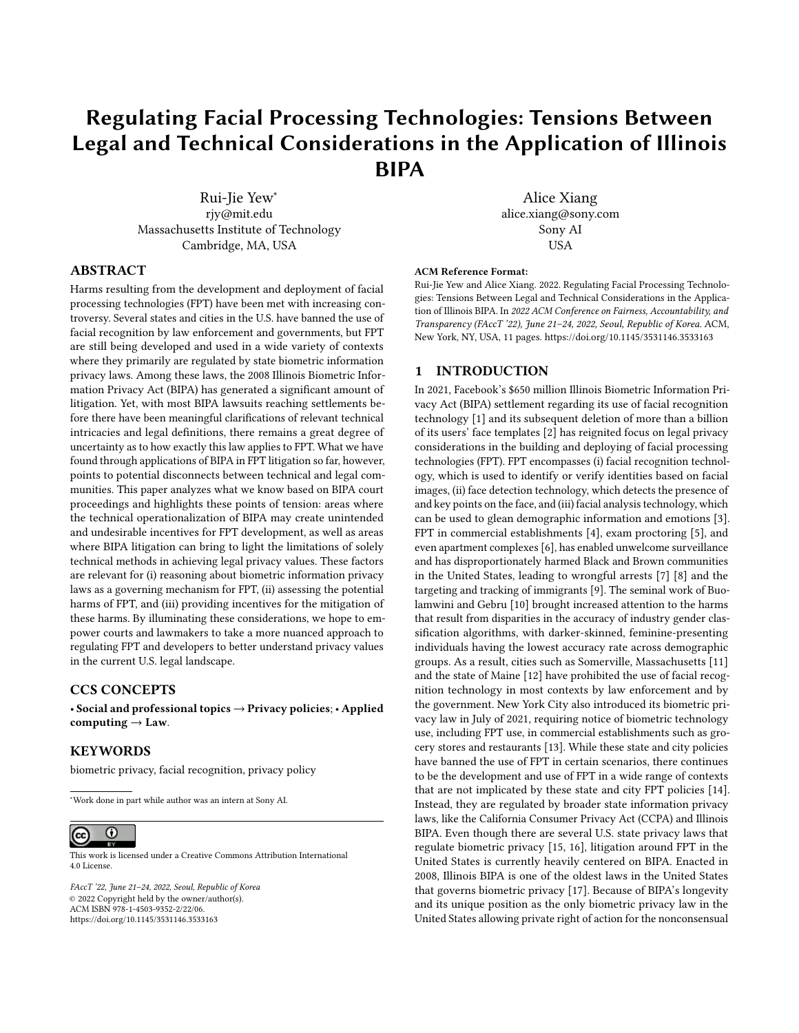# Regulating Facial Processing Technologies: Tensions Between Legal and Technical Considerations in the Application of Illinois BIPA

Rui-Jie Yew<sup>∗</sup> rjy@mit.edu Massachusetts Institute of Technology Cambridge, MA, USA

## ABSTRACT

Harms resulting from the development and deployment of facial processing technologies (FPT) have been met with increasing controversy. Several states and cities in the U.S. have banned the use of facial recognition by law enforcement and governments, but FPT are still being developed and used in a wide variety of contexts where they primarily are regulated by state biometric information privacy laws. Among these laws, the 2008 Illinois Biometric Information Privacy Act (BIPA) has generated a significant amount of litigation. Yet, with most BIPA lawsuits reaching settlements before there have been meaningful clarifications of relevant technical intricacies and legal definitions, there remains a great degree of uncertainty as to how exactly this law applies to FPT. What we have found through applications of BIPA in FPT litigation so far, however, points to potential disconnects between technical and legal communities. This paper analyzes what we know based on BIPA court proceedings and highlights these points of tension: areas where the technical operationalization of BIPA may create unintended and undesirable incentives for FPT development, as well as areas where BIPA litigation can bring to light the limitations of solely technical methods in achieving legal privacy values. These factors are relevant for (i) reasoning about biometric information privacy laws as a governing mechanism for FPT, (ii) assessing the potential harms of FPT, and (iii) providing incentives for the mitigation of these harms. By illuminating these considerations, we hope to empower courts and lawmakers to take a more nuanced approach to regulating FPT and developers to better understand privacy values in the current U.S. legal landscape.

#### CCS CONCEPTS

• Social and professional topics → Privacy policies; • Applied computing  $\rightarrow$  Law.

## KEYWORDS

biometric privacy, facial recognition, privacy policy

<sup>∗</sup>Work done in part while author was an intern at Sony AI.

#### $\overline{\odot}$  $(cc)$

This work is licensed under a [Creative Commons Attribution International](https://creativecommons.org/licenses/by/4.0/) [4.0 License.](https://creativecommons.org/licenses/by/4.0/)

FAccT '22, June 21–24, 2022, Seoul, Republic of Korea © 2022 Copyright held by the owner/author(s). ACM ISBN 978-1-4503-9352-2/22/06. <https://doi.org/10.1145/3531146.3533163>

Alice Xiang alice.xiang@sony.com Sony AI USA

#### ACM Reference Format:

Rui-Jie Yew and Alice Xiang. 2022. Regulating Facial Processing Technologies: Tensions Between Legal and Technical Considerations in the Application of Illinois BIPA. In 2022 ACM Conference on Fairness, Accountability, and Transparency (FAccT '22), June 21–24, 2022, Seoul, Republic of Korea. ACM, New York, NY, USA, [11](#page-10-0) pages.<https://doi.org/10.1145/3531146.3533163>

#### 1 INTRODUCTION

In 2021, Facebook's \$650 million Illinois Biometric Information Privacy Act (BIPA) settlement regarding its use of facial recognition technology [\[1\]](#page-8-0) and its subsequent deletion of more than a billion of its users' face templates [\[2\]](#page-8-1) has reignited focus on legal privacy considerations in the building and deploying of facial processing technologies (FPT). FPT encompasses (i) facial recognition technology, which is used to identify or verify identities based on facial images, (ii) face detection technology, which detects the presence of and key points on the face, and (iii) facial analysis technology, which can be used to glean demographic information and emotions [\[3\]](#page-8-2). FPT in commercial establishments [\[4\]](#page-8-3), exam proctoring [\[5\]](#page-8-4), and even apartment complexes [\[6\]](#page-8-5), has enabled unwelcome surveillance and has disproportionately harmed Black and Brown communities in the United States, leading to wrongful arrests [\[7\]](#page-8-6) [\[8\]](#page-8-7) and the targeting and tracking of immigrants [\[9\]](#page-8-8). The seminal work of Buolamwini and Gebru [\[10\]](#page-8-9) brought increased attention to the harms that result from disparities in the accuracy of industry gender classification algorithms, with darker-skinned, feminine-presenting individuals having the lowest accuracy rate across demographic groups. As a result, cities such as Somerville, Massachusetts [\[11\]](#page-8-10) and the state of Maine [\[12\]](#page-8-11) have prohibited the use of facial recognition technology in most contexts by law enforcement and by the government. New York City also introduced its biometric privacy law in July of 2021, requiring notice of biometric technology use, including FPT use, in commercial establishments such as grocery stores and restaurants [\[13\]](#page-8-12). While these state and city policies have banned the use of FPT in certain scenarios, there continues to be the development and use of FPT in a wide range of contexts that are not implicated by these state and city FPT policies [\[14\]](#page-9-0). Instead, they are regulated by broader state information privacy laws, like the California Consumer Privacy Act (CCPA) and Illinois BIPA. Even though there are several U.S. state privacy laws that regulate biometric privacy [\[15,](#page-9-1) [16\]](#page-9-2), litigation around FPT in the United States is currently heavily centered on BIPA. Enacted in 2008, Illinois BIPA is one of the oldest laws in the United States that governs biometric privacy [\[17\]](#page-9-3). Because of BIPA's longevity and its unique position as the only biometric privacy law in the United States allowing private right of action for the nonconsensual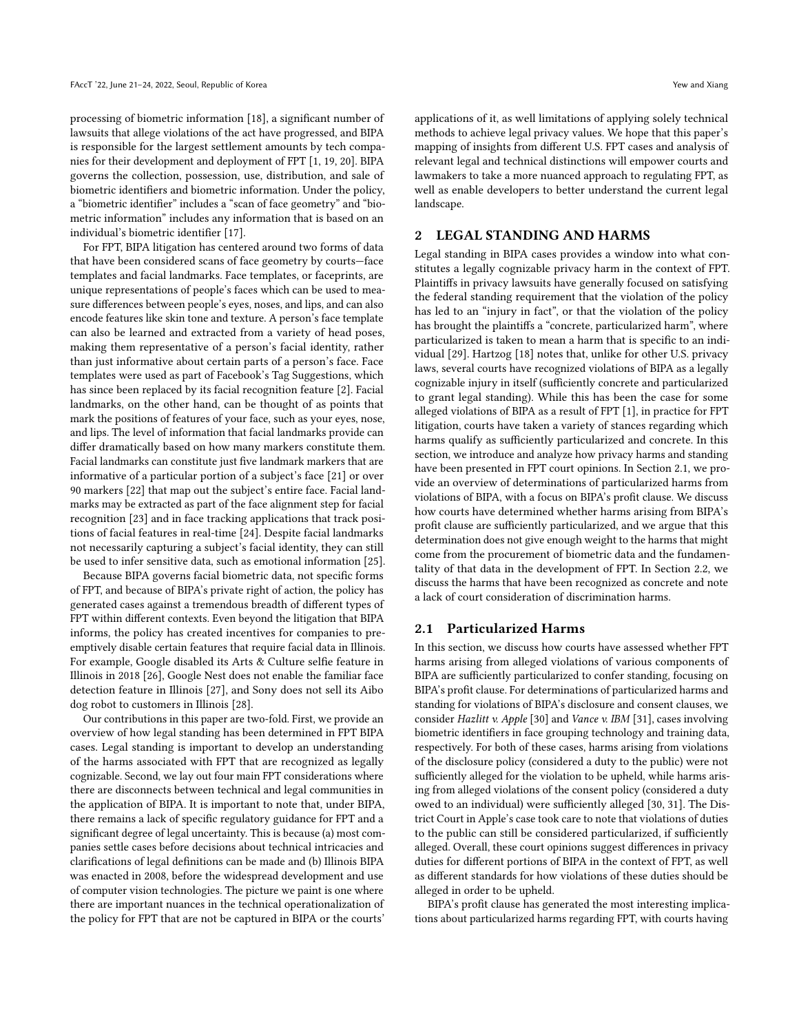processing of biometric information [\[18\]](#page-9-4), a significant number of lawsuits that allege violations of the act have progressed, and BIPA is responsible for the largest settlement amounts by tech companies for their development and deployment of FPT [\[1,](#page-8-0) [19,](#page-9-5) [20\]](#page-9-6). BIPA governs the collection, possession, use, distribution, and sale of biometric identifiers and biometric information. Under the policy, a "biometric identifier" includes a "scan of face geometry" and "biometric information" includes any information that is based on an individual's biometric identifier [\[17\]](#page-9-3).

For FPT, BIPA litigation has centered around two forms of data that have been considered scans of face geometry by courts—face templates and facial landmarks. Face templates, or faceprints, are unique representations of people's faces which can be used to measure differences between people's eyes, noses, and lips, and can also encode features like skin tone and texture. A person's face template can also be learned and extracted from a variety of head poses, making them representative of a person's facial identity, rather than just informative about certain parts of a person's face. Face templates were used as part of Facebook's Tag Suggestions, which has since been replaced by its facial recognition feature [\[2\]](#page-8-1). Facial landmarks, on the other hand, can be thought of as points that mark the positions of features of your face, such as your eyes, nose, and lips. The level of information that facial landmarks provide can differ dramatically based on how many markers constitute them. Facial landmarks can constitute just five landmark markers that are informative of a particular portion of a subject's face [\[21\]](#page-9-7) or over 90 markers [\[22\]](#page-9-8) that map out the subject's entire face. Facial landmarks may be extracted as part of the face alignment step for facial recognition [\[23\]](#page-9-9) and in face tracking applications that track positions of facial features in real-time [\[24\]](#page-9-10). Despite facial landmarks not necessarily capturing a subject's facial identity, they can still be used to infer sensitive data, such as emotional information [\[25\]](#page-9-11).

Because BIPA governs facial biometric data, not specific forms of FPT, and because of BIPA's private right of action, the policy has generated cases against a tremendous breadth of different types of FPT within different contexts. Even beyond the litigation that BIPA informs, the policy has created incentives for companies to preemptively disable certain features that require facial data in Illinois. For example, Google disabled its Arts & Culture selfie feature in Illinois in 2018 [\[26\]](#page-9-12), Google Nest does not enable the familiar face detection feature in Illinois [\[27\]](#page-9-13), and Sony does not sell its Aibo dog robot to customers in Illinois [\[28\]](#page-9-14).

Our contributions in this paper are two-fold. First, we provide an overview of how legal standing has been determined in FPT BIPA cases. Legal standing is important to develop an understanding of the harms associated with FPT that are recognized as legally cognizable. Second, we lay out four main FPT considerations where there are disconnects between technical and legal communities in the application of BIPA. It is important to note that, under BIPA, there remains a lack of specific regulatory guidance for FPT and a significant degree of legal uncertainty. This is because (a) most companies settle cases before decisions about technical intricacies and clarifications of legal definitions can be made and (b) Illinois BIPA was enacted in 2008, before the widespread development and use of computer vision technologies. The picture we paint is one where there are important nuances in the technical operationalization of the policy for FPT that are not be captured in BIPA or the courts'

applications of it, as well limitations of applying solely technical methods to achieve legal privacy values. We hope that this paper's mapping of insights from different U.S. FPT cases and analysis of relevant legal and technical distinctions will empower courts and lawmakers to take a more nuanced approach to regulating FPT, as well as enable developers to better understand the current legal landscape.

## 2 LEGAL STANDING AND HARMS

Legal standing in BIPA cases provides a window into what constitutes a legally cognizable privacy harm in the context of FPT. Plaintiffs in privacy lawsuits have generally focused on satisfying the federal standing requirement that the violation of the policy has led to an "injury in fact", or that the violation of the policy has brought the plaintiffs a "concrete, particularized harm", where particularized is taken to mean a harm that is specific to an individual [\[29\]](#page-9-15). Hartzog [\[18\]](#page-9-4) notes that, unlike for other U.S. privacy laws, several courts have recognized violations of BIPA as a legally cognizable injury in itself (sufficiently concrete and particularized to grant legal standing). While this has been the case for some alleged violations of BIPA as a result of FPT [\[1\]](#page-8-0), in practice for FPT litigation, courts have taken a variety of stances regarding which harms qualify as sufficiently particularized and concrete. In this section, we introduce and analyze how privacy harms and standing have been presented in FPT court opinions. In Section [2.1,](#page-1-0) we provide an overview of determinations of particularized harms from violations of BIPA, with a focus on BIPA's profit clause. We discuss how courts have determined whether harms arising from BIPA's profit clause are sufficiently particularized, and we argue that this determination does not give enough weight to the harms that might come from the procurement of biometric data and the fundamentality of that data in the development of FPT. In Section [2.2,](#page-2-0) we discuss the harms that have been recognized as concrete and note a lack of court consideration of discrimination harms.

# <span id="page-1-0"></span>2.1 Particularized Harms

In this section, we discuss how courts have assessed whether FPT harms arising from alleged violations of various components of BIPA are sufficiently particularized to confer standing, focusing on BIPA's profit clause. For determinations of particularized harms and standing for violations of BIPA's disclosure and consent clauses, we consider Hazlitt v. Apple [\[30\]](#page-9-16) and Vance v. IBM [\[31\]](#page-9-17), cases involving biometric identifiers in face grouping technology and training data, respectively. For both of these cases, harms arising from violations of the disclosure policy (considered a duty to the public) were not sufficiently alleged for the violation to be upheld, while harms arising from alleged violations of the consent policy (considered a duty owed to an individual) were sufficiently alleged [\[30,](#page-9-16) [31\]](#page-9-17). The District Court in Apple's case took care to note that violations of duties to the public can still be considered particularized, if sufficiently alleged. Overall, these court opinions suggest differences in privacy duties for different portions of BIPA in the context of FPT, as well as different standards for how violations of these duties should be alleged in order to be upheld.

BIPA's profit clause has generated the most interesting implications about particularized harms regarding FPT, with courts having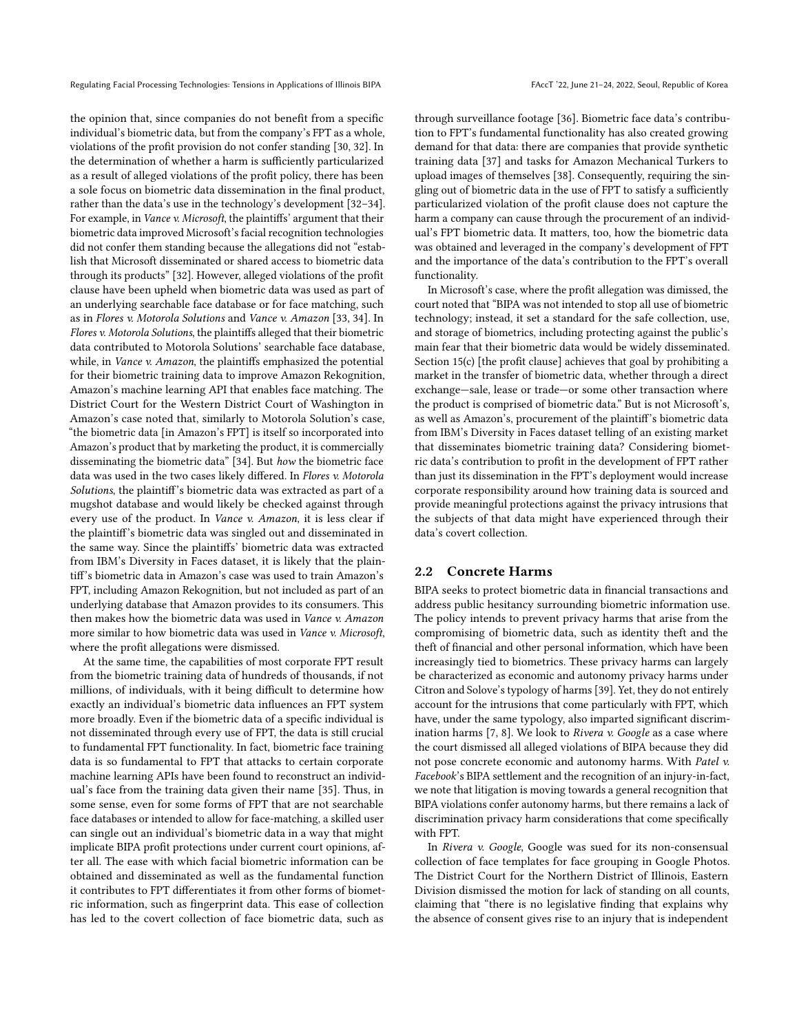the opinion that, since companies do not benefit from a specific individual's biometric data, but from the company's FPT as a whole, violations of the profit provision do not confer standing [\[30,](#page-9-16) [32\]](#page-9-18). In the determination of whether a harm is sufficiently particularized as a result of alleged violations of the profit policy, there has been a sole focus on biometric data dissemination in the final product, rather than the data's use in the technology's development [\[32](#page-9-18)[–34\]](#page-9-19). For example, in Vance v. Microsoft, the plaintiffs' argument that their biometric data improved Microsoft's facial recognition technologies did not confer them standing because the allegations did not "establish that Microsoft disseminated or shared access to biometric data through its products" [\[32\]](#page-9-18). However, alleged violations of the profit clause have been upheld when biometric data was used as part of an underlying searchable face database or for face matching, such as in Flores v. Motorola Solutions and Vance v. Amazon [\[33,](#page-9-20) [34\]](#page-9-19). In Flores v. Motorola Solutions, the plaintiffs alleged that their biometric data contributed to Motorola Solutions' searchable face database, while, in Vance v. Amazon, the plaintiffs emphasized the potential for their biometric training data to improve Amazon Rekognition, Amazon's machine learning API that enables face matching. The District Court for the Western District Court of Washington in Amazon's case noted that, similarly to Motorola Solution's case, "the biometric data [in Amazon's FPT] is itself so incorporated into Amazon's product that by marketing the product, it is commercially disseminating the biometric data" [\[34\]](#page-9-19). But how the biometric face data was used in the two cases likely differed. In Flores v. Motorola Solutions, the plaintiff's biometric data was extracted as part of a mugshot database and would likely be checked against through every use of the product. In Vance v. Amazon, it is less clear if the plaintiff's biometric data was singled out and disseminated in the same way. Since the plaintiffs' biometric data was extracted from IBM's Diversity in Faces dataset, it is likely that the plaintiff's biometric data in Amazon's case was used to train Amazon's FPT, including Amazon Rekognition, but not included as part of an underlying database that Amazon provides to its consumers. This then makes how the biometric data was used in Vance v. Amazon more similar to how biometric data was used in Vance v. Microsoft, where the profit allegations were dismissed.

At the same time, the capabilities of most corporate FPT result from the biometric training data of hundreds of thousands, if not millions, of individuals, with it being difficult to determine how exactly an individual's biometric data influences an FPT system more broadly. Even if the biometric data of a specific individual is not disseminated through every use of FPT, the data is still crucial to fundamental FPT functionality. In fact, biometric face training data is so fundamental to FPT that attacks to certain corporate machine learning APIs have been found to reconstruct an individual's face from the training data given their name [\[35\]](#page-9-21). Thus, in some sense, even for some forms of FPT that are not searchable face databases or intended to allow for face-matching, a skilled user can single out an individual's biometric data in a way that might implicate BIPA profit protections under current court opinions, after all. The ease with which facial biometric information can be obtained and disseminated as well as the fundamental function it contributes to FPT differentiates it from other forms of biometric information, such as fingerprint data. This ease of collection has led to the covert collection of face biometric data, such as

through surveillance footage [\[36\]](#page-9-22). Biometric face data's contribution to FPT's fundamental functionality has also created growing demand for that data: there are companies that provide synthetic training data [\[37\]](#page-9-23) and tasks for Amazon Mechanical Turkers to upload images of themselves [\[38\]](#page-9-24). Consequently, requiring the singling out of biometric data in the use of FPT to satisfy a sufficiently particularized violation of the profit clause does not capture the harm a company can cause through the procurement of an individual's FPT biometric data. It matters, too, how the biometric data was obtained and leveraged in the company's development of FPT and the importance of the data's contribution to the FPT's overall functionality.

In Microsoft's case, where the profit allegation was dimissed, the court noted that "BIPA was not intended to stop all use of biometric technology; instead, it set a standard for the safe collection, use, and storage of biometrics, including protecting against the public's main fear that their biometric data would be widely disseminated. Section 15(c) [the profit clause] achieves that goal by prohibiting a market in the transfer of biometric data, whether through a direct exchange—sale, lease or trade—or some other transaction where the product is comprised of biometric data." But is not Microsoft's, as well as Amazon's, procurement of the plaintiff's biometric data from IBM's Diversity in Faces dataset telling of an existing market that disseminates biometric training data? Considering biometric data's contribution to profit in the development of FPT rather than just its dissemination in the FPT's deployment would increase corporate responsibility around how training data is sourced and provide meaningful protections against the privacy intrusions that the subjects of that data might have experienced through their data's covert collection.

#### <span id="page-2-0"></span>2.2 Concrete Harms

BIPA seeks to protect biometric data in financial transactions and address public hesitancy surrounding biometric information use. The policy intends to prevent privacy harms that arise from the compromising of biometric data, such as identity theft and the theft of financial and other personal information, which have been increasingly tied to biometrics. These privacy harms can largely be characterized as economic and autonomy privacy harms under Citron and Solove's typology of harms [\[39\]](#page-9-25). Yet, they do not entirely account for the intrusions that come particularly with FPT, which have, under the same typology, also imparted significant discrim-ination harms [\[7,](#page-8-6) [8\]](#page-8-7). We look to Rivera v. Google as a case where the court dismissed all alleged violations of BIPA because they did not pose concrete economic and autonomy harms. With Patel v. Facebook's BIPA settlement and the recognition of an injury-in-fact, we note that litigation is moving towards a general recognition that BIPA violations confer autonomy harms, but there remains a lack of discrimination privacy harm considerations that come specifically with FPT.

In Rivera v. Google, Google was sued for its non-consensual collection of face templates for face grouping in Google Photos. The District Court for the Northern District of Illinois, Eastern Division dismissed the motion for lack of standing on all counts, claiming that "there is no legislative finding that explains why the absence of consent gives rise to an injury that is independent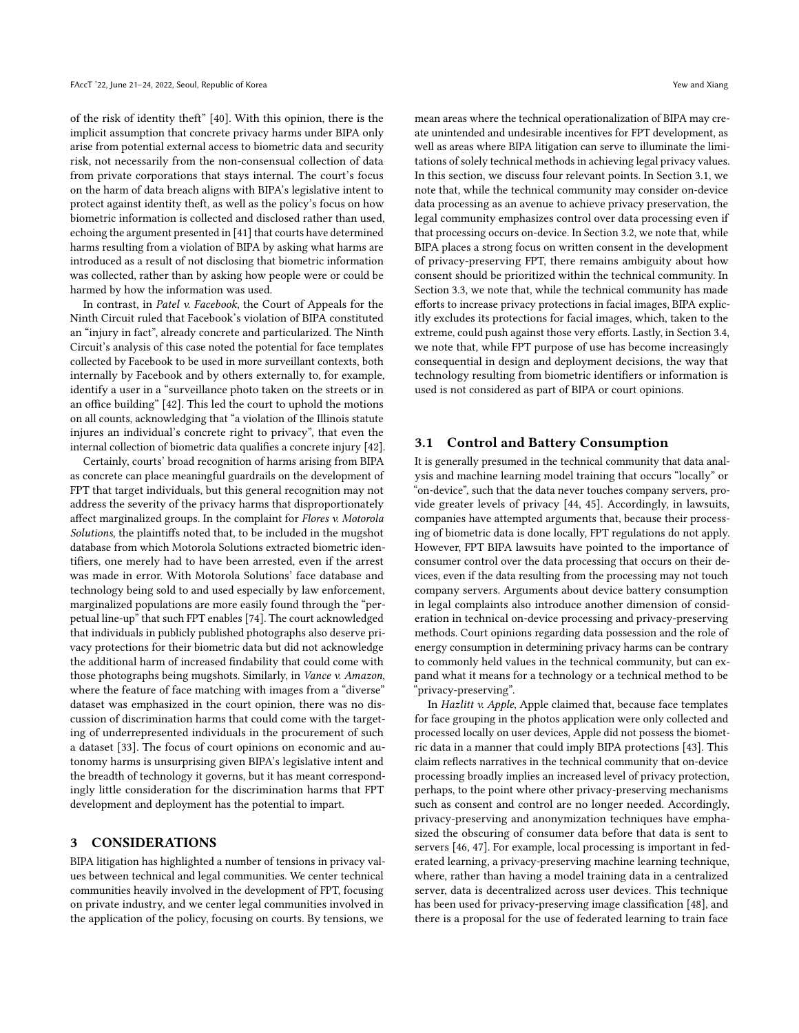of the risk of identity theft" [\[40\]](#page-9-26). With this opinion, there is the implicit assumption that concrete privacy harms under BIPA only arise from potential external access to biometric data and security risk, not necessarily from the non-consensual collection of data from private corporations that stays internal. The court's focus on the harm of data breach aligns with BIPA's legislative intent to protect against identity theft, as well as the policy's focus on how biometric information is collected and disclosed rather than used, echoing the argument presented in [\[41\]](#page-9-27) that courts have determined harms resulting from a violation of BIPA by asking what harms are introduced as a result of not disclosing that biometric information was collected, rather than by asking how people were or could be harmed by how the information was used.

In contrast, in Patel v. Facebook, the Court of Appeals for the Ninth Circuit ruled that Facebook's violation of BIPA constituted an "injury in fact", already concrete and particularized. The Ninth Circuit's analysis of this case noted the potential for face templates collected by Facebook to be used in more surveillant contexts, both internally by Facebook and by others externally to, for example, identify a user in a "surveillance photo taken on the streets or in an office building" [\[42\]](#page-9-28). This led the court to uphold the motions on all counts, acknowledging that "a violation of the Illinois statute injures an individual's concrete right to privacy", that even the internal collection of biometric data qualifies a concrete injury [\[42\]](#page-9-28).

Certainly, courts' broad recognition of harms arising from BIPA as concrete can place meaningful guardrails on the development of FPT that target individuals, but this general recognition may not address the severity of the privacy harms that disproportionately affect marginalized groups. In the complaint for Flores v. Motorola Solutions, the plaintiffs noted that, to be included in the mugshot database from which Motorola Solutions extracted biometric identifiers, one merely had to have been arrested, even if the arrest was made in error. With Motorola Solutions' face database and technology being sold to and used especially by law enforcement, marginalized populations are more easily found through the "perpetual line-up" that such FPT enables [\[74\]](#page-10-1). The court acknowledged that individuals in publicly published photographs also deserve privacy protections for their biometric data but did not acknowledge the additional harm of increased findability that could come with those photographs being mugshots. Similarly, in Vance v. Amazon, where the feature of face matching with images from a "diverse" dataset was emphasized in the court opinion, there was no discussion of discrimination harms that could come with the targeting of underrepresented individuals in the procurement of such a dataset [\[33\]](#page-9-20). The focus of court opinions on economic and autonomy harms is unsurprising given BIPA's legislative intent and the breadth of technology it governs, but it has meant correspondingly little consideration for the discrimination harms that FPT development and deployment has the potential to impart.

#### 3 CONSIDERATIONS

BIPA litigation has highlighted a number of tensions in privacy values between technical and legal communities. We center technical communities heavily involved in the development of FPT, focusing on private industry, and we center legal communities involved in the application of the policy, focusing on courts. By tensions, we

mean areas where the technical operationalization of BIPA may create unintended and undesirable incentives for FPT development, as well as areas where BIPA litigation can serve to illuminate the limitations of solely technical methods in achieving legal privacy values. In this section, we discuss four relevant points. In Section [3.1,](#page-3-0) we note that, while the technical community may consider on-device data processing as an avenue to achieve privacy preservation, the legal community emphasizes control over data processing even if that processing occurs on-device. In Section [3.2,](#page-5-0) we note that, while BIPA places a strong focus on written consent in the development of privacy-preserving FPT, there remains ambiguity about how consent should be prioritized within the technical community. In Section [3.3,](#page-6-0) we note that, while the technical community has made efforts to increase privacy protections in facial images, BIPA explicitly excludes its protections for facial images, which, taken to the extreme, could push against those very efforts. Lastly, in Section [3.4,](#page-7-0) we note that, while FPT purpose of use has become increasingly consequential in design and deployment decisions, the way that technology resulting from biometric identifiers or information is used is not considered as part of BIPA or court opinions.

#### <span id="page-3-0"></span>3.1 Control and Battery Consumption

It is generally presumed in the technical community that data analysis and machine learning model training that occurs "locally" or "on-device", such that the data never touches company servers, provide greater levels of privacy [\[44,](#page-9-29) [45\]](#page-9-30). Accordingly, in lawsuits, companies have attempted arguments that, because their processing of biometric data is done locally, FPT regulations do not apply. However, FPT BIPA lawsuits have pointed to the importance of consumer control over the data processing that occurs on their devices, even if the data resulting from the processing may not touch company servers. Arguments about device battery consumption in legal complaints also introduce another dimension of consideration in technical on-device processing and privacy-preserving methods. Court opinions regarding data possession and the role of energy consumption in determining privacy harms can be contrary to commonly held values in the technical community, but can expand what it means for a technology or a technical method to be "privacy-preserving".

In Hazlitt v. Apple, Apple claimed that, because face templates for face grouping in the photos application were only collected and processed locally on user devices, Apple did not possess the biometric data in a manner that could imply BIPA protections [\[43\]](#page-9-31). This claim reflects narratives in the technical community that on-device processing broadly implies an increased level of privacy protection, perhaps, to the point where other privacy-preserving mechanisms such as consent and control are no longer needed. Accordingly, privacy-preserving and anonymization techniques have emphasized the obscuring of consumer data before that data is sent to servers [\[46,](#page-9-32) [47\]](#page-9-33). For example, local processing is important in federated learning, a privacy-preserving machine learning technique, where, rather than having a model training data in a centralized server, data is decentralized across user devices. This technique has been used for privacy-preserving image classification [\[48\]](#page-9-34), and there is a proposal for the use of federated learning to train face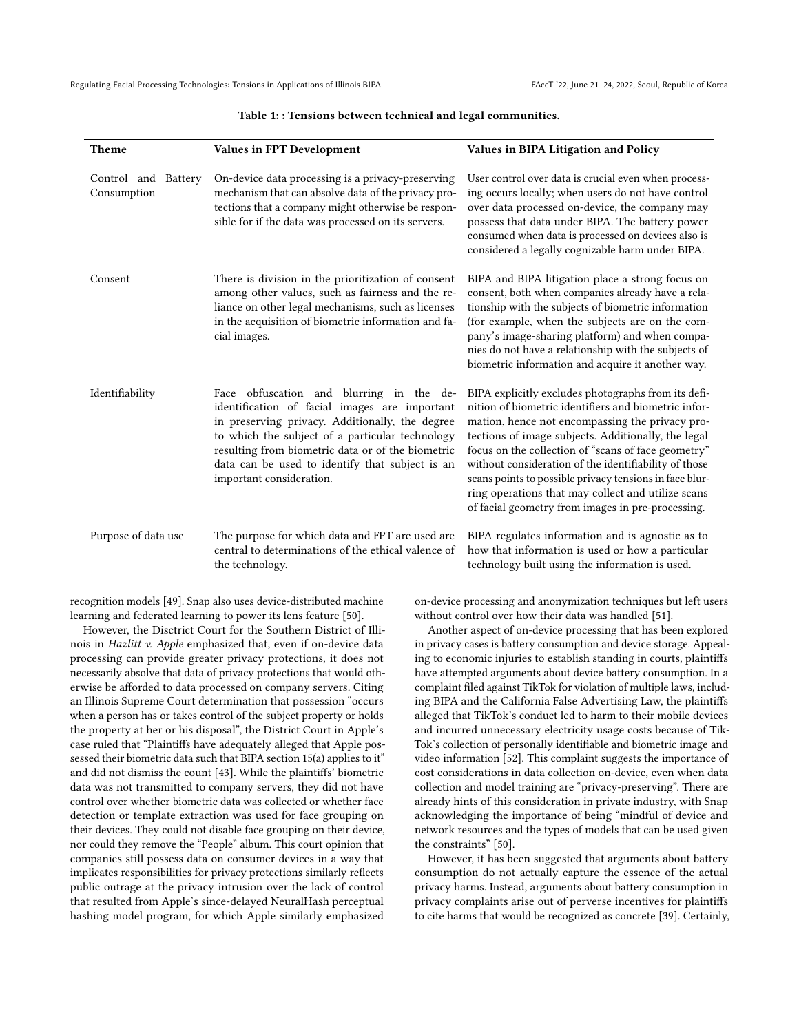| <b>Theme</b>                       | Values in FPT Development                                                                                                                                                                                                                                                                                                           | Values in BIPA Litigation and Policy                                                                                                                                                                                                                                                                                                                                                                                                                                                                        |
|------------------------------------|-------------------------------------------------------------------------------------------------------------------------------------------------------------------------------------------------------------------------------------------------------------------------------------------------------------------------------------|-------------------------------------------------------------------------------------------------------------------------------------------------------------------------------------------------------------------------------------------------------------------------------------------------------------------------------------------------------------------------------------------------------------------------------------------------------------------------------------------------------------|
| Control and Battery<br>Consumption | On-device data processing is a privacy-preserving<br>mechanism that can absolve data of the privacy pro-<br>tections that a company might otherwise be respon-<br>sible for if the data was processed on its servers.                                                                                                               | User control over data is crucial even when process-<br>ing occurs locally; when users do not have control<br>over data processed on-device, the company may<br>possess that data under BIPA. The battery power<br>consumed when data is processed on devices also is<br>considered a legally cognizable harm under BIPA.                                                                                                                                                                                   |
| Consent                            | There is division in the prioritization of consent<br>among other values, such as fairness and the re-<br>liance on other legal mechanisms, such as licenses<br>in the acquisition of biometric information and fa-<br>cial images.                                                                                                 | BIPA and BIPA litigation place a strong focus on<br>consent, both when companies already have a rela-<br>tionship with the subjects of biometric information<br>(for example, when the subjects are on the com-<br>pany's image-sharing platform) and when compa-<br>nies do not have a relationship with the subjects of<br>biometric information and acquire it another way.                                                                                                                              |
| Identifiability                    | Face obfuscation and blurring in the de-<br>identification of facial images are important<br>in preserving privacy. Additionally, the degree<br>to which the subject of a particular technology<br>resulting from biometric data or of the biometric<br>data can be used to identify that subject is an<br>important consideration. | BIPA explicitly excludes photographs from its defi-<br>nition of biometric identifiers and biometric infor-<br>mation, hence not encompassing the privacy pro-<br>tections of image subjects. Additionally, the legal<br>focus on the collection of "scans of face geometry"<br>without consideration of the identifiability of those<br>scans points to possible privacy tensions in face blur-<br>ring operations that may collect and utilize scans<br>of facial geometry from images in pre-processing. |
| Purpose of data use                | The purpose for which data and FPT are used are<br>central to determinations of the ethical valence of<br>the technology.                                                                                                                                                                                                           | BIPA regulates information and is agnostic as to<br>how that information is used or how a particular<br>technology built using the information is used.                                                                                                                                                                                                                                                                                                                                                     |

#### Table 1: : Tensions between technical and legal communities.

recognition models [\[49\]](#page-9-35). Snap also uses device-distributed machine learning and federated learning to power its lens feature [\[50\]](#page-9-36).

However, the Disctrict Court for the Southern District of Illinois in Hazlitt v. Apple emphasized that, even if on-device data processing can provide greater privacy protections, it does not necessarily absolve that data of privacy protections that would otherwise be afforded to data processed on company servers. Citing an Illinois Supreme Court determination that possession "occurs when a person has or takes control of the subject property or holds the property at her or his disposal", the District Court in Apple's case ruled that "Plaintiffs have adequately alleged that Apple possessed their biometric data such that BIPA section 15(a) applies to it" and did not dismiss the count [\[43\]](#page-9-31). While the plaintiffs' biometric data was not transmitted to company servers, they did not have control over whether biometric data was collected or whether face detection or template extraction was used for face grouping on their devices. They could not disable face grouping on their device, nor could they remove the "People" album. This court opinion that companies still possess data on consumer devices in a way that implicates responsibilities for privacy protections similarly reflects public outrage at the privacy intrusion over the lack of control that resulted from Apple's since-delayed NeuralHash perceptual hashing model program, for which Apple similarly emphasized

on-device processing and anonymization techniques but left users without control over how their data was handled [\[51\]](#page-9-37).

Another aspect of on-device processing that has been explored in privacy cases is battery consumption and device storage. Appealing to economic injuries to establish standing in courts, plaintiffs have attempted arguments about device battery consumption. In a complaint filed against TikTok for violation of multiple laws, including BIPA and the California False Advertising Law, the plaintiffs alleged that TikTok's conduct led to harm to their mobile devices and incurred unnecessary electricity usage costs because of Tik-Tok's collection of personally identifiable and biometric image and video information [\[52\]](#page-9-38). This complaint suggests the importance of cost considerations in data collection on-device, even when data collection and model training are "privacy-preserving". There are already hints of this consideration in private industry, with Snap acknowledging the importance of being "mindful of device and network resources and the types of models that can be used given the constraints" [\[50\]](#page-9-36).

However, it has been suggested that arguments about battery consumption do not actually capture the essence of the actual privacy harms. Instead, arguments about battery consumption in privacy complaints arise out of perverse incentives for plaintiffs to cite harms that would be recognized as concrete [\[39\]](#page-9-25). Certainly,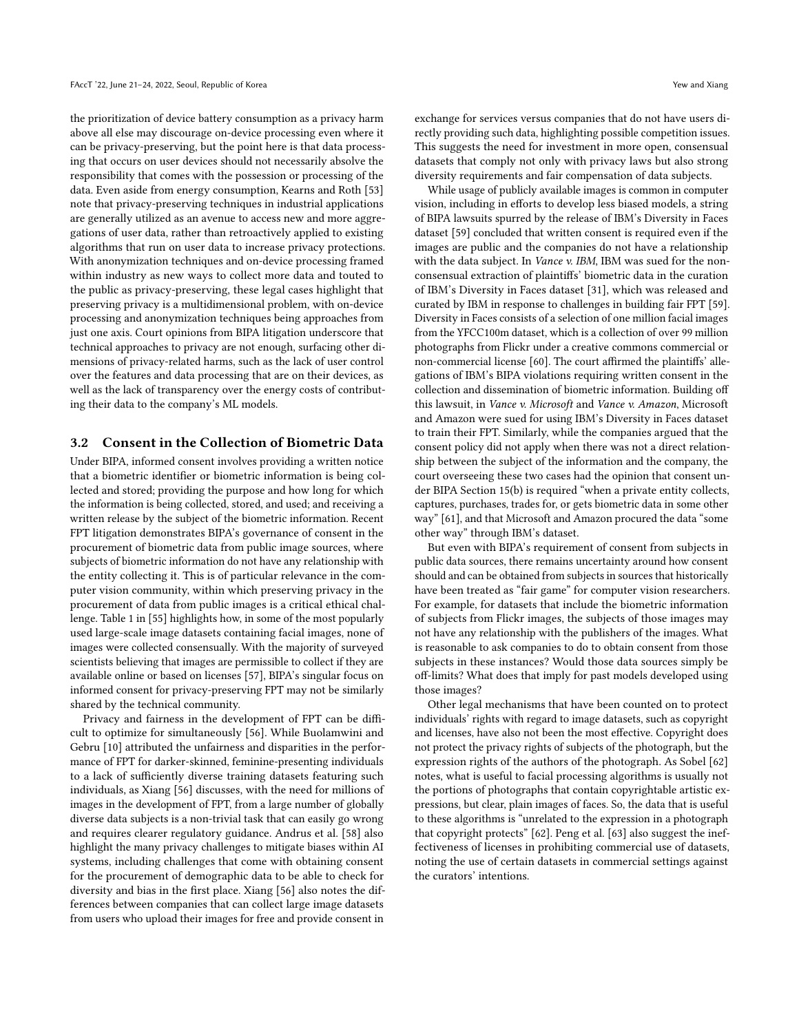the prioritization of device battery consumption as a privacy harm above all else may discourage on-device processing even where it can be privacy-preserving, but the point here is that data processing that occurs on user devices should not necessarily absolve the responsibility that comes with the possession or processing of the data. Even aside from energy consumption, Kearns and Roth [\[53\]](#page-9-39) note that privacy-preserving techniques in industrial applications are generally utilized as an avenue to access new and more aggregations of user data, rather than retroactively applied to existing algorithms that run on user data to increase privacy protections. With anonymization techniques and on-device processing framed within industry as new ways to collect more data and touted to the public as privacy-preserving, these legal cases highlight that preserving privacy is a multidimensional problem, with on-device processing and anonymization techniques being approaches from just one axis. Court opinions from BIPA litigation underscore that technical approaches to privacy are not enough, surfacing other dimensions of privacy-related harms, such as the lack of user control over the features and data processing that are on their devices, as well as the lack of transparency over the energy costs of contributing their data to the company's ML models.

#### <span id="page-5-0"></span>3.2 Consent in the Collection of Biometric Data

Under BIPA, informed consent involves providing a written notice that a biometric identifier or biometric information is being collected and stored; providing the purpose and how long for which the information is being collected, stored, and used; and receiving a written release by the subject of the biometric information. Recent FPT litigation demonstrates BIPA's governance of consent in the procurement of biometric data from public image sources, where subjects of biometric information do not have any relationship with the entity collecting it. This is of particular relevance in the computer vision community, within which preserving privacy in the procurement of data from public images is a critical ethical challenge. Table 1 in [\[55\]](#page-9-40) highlights how, in some of the most popularly used large-scale image datasets containing facial images, none of images were collected consensually. With the majority of surveyed scientists believing that images are permissible to collect if they are available online or based on licenses [\[57\]](#page-9-41), BIPA's singular focus on informed consent for privacy-preserving FPT may not be similarly shared by the technical community.

Privacy and fairness in the development of FPT can be difficult to optimize for simultaneously [\[56\]](#page-9-42). While Buolamwini and Gebru [\[10\]](#page-8-9) attributed the unfairness and disparities in the performance of FPT for darker-skinned, feminine-presenting individuals to a lack of sufficiently diverse training datasets featuring such individuals, as Xiang [\[56\]](#page-9-42) discusses, with the need for millions of images in the development of FPT, from a large number of globally diverse data subjects is a non-trivial task that can easily go wrong and requires clearer regulatory guidance. Andrus et al. [\[58\]](#page-9-43) also highlight the many privacy challenges to mitigate biases within AI systems, including challenges that come with obtaining consent for the procurement of demographic data to be able to check for diversity and bias in the first place. Xiang [\[56\]](#page-9-42) also notes the differences between companies that can collect large image datasets from users who upload their images for free and provide consent in

exchange for services versus companies that do not have users directly providing such data, highlighting possible competition issues. This suggests the need for investment in more open, consensual datasets that comply not only with privacy laws but also strong diversity requirements and fair compensation of data subjects.

While usage of publicly available images is common in computer vision, including in efforts to develop less biased models, a string of BIPA lawsuits spurred by the release of IBM's Diversity in Faces dataset [\[59\]](#page-9-44) concluded that written consent is required even if the images are public and the companies do not have a relationship with the data subject. In *Vance v. IBM*, IBM was sued for the nonconsensual extraction of plaintiffs' biometric data in the curation of IBM's Diversity in Faces dataset [\[31\]](#page-9-17), which was released and curated by IBM in response to challenges in building fair FPT [\[59\]](#page-9-44). Diversity in Faces consists of a selection of one million facial images from the YFCC100m dataset, which is a collection of over 99 million photographs from Flickr under a creative commons commercial or non-commercial license [\[60\]](#page-9-45). The court affirmed the plaintiffs' allegations of IBM's BIPA violations requiring written consent in the collection and dissemination of biometric information. Building off this lawsuit, in Vance v. Microsoft and Vance v. Amazon, Microsoft and Amazon were sued for using IBM's Diversity in Faces dataset to train their FPT. Similarly, while the companies argued that the consent policy did not apply when there was not a direct relationship between the subject of the information and the company, the court overseeing these two cases had the opinion that consent under BIPA Section 15(b) is required "when a private entity collects, captures, purchases, trades for, or gets biometric data in some other way" [\[61\]](#page-9-46), and that Microsoft and Amazon procured the data "some other way" through IBM's dataset.

But even with BIPA's requirement of consent from subjects in public data sources, there remains uncertainty around how consent should and can be obtained from subjects in sources that historically have been treated as "fair game" for computer vision researchers. For example, for datasets that include the biometric information of subjects from Flickr images, the subjects of those images may not have any relationship with the publishers of the images. What is reasonable to ask companies to do to obtain consent from those subjects in these instances? Would those data sources simply be off-limits? What does that imply for past models developed using those images?

Other legal mechanisms that have been counted on to protect individuals' rights with regard to image datasets, such as copyright and licenses, have also not been the most effective. Copyright does not protect the privacy rights of subjects of the photograph, but the expression rights of the authors of the photograph. As Sobel [\[62\]](#page-9-47) notes, what is useful to facial processing algorithms is usually not the portions of photographs that contain copyrightable artistic expressions, but clear, plain images of faces. So, the data that is useful to these algorithms is "unrelated to the expression in a photograph that copyright protects" [\[62\]](#page-9-47). Peng et al. [\[63\]](#page-9-48) also suggest the ineffectiveness of licenses in prohibiting commercial use of datasets, noting the use of certain datasets in commercial settings against the curators' intentions.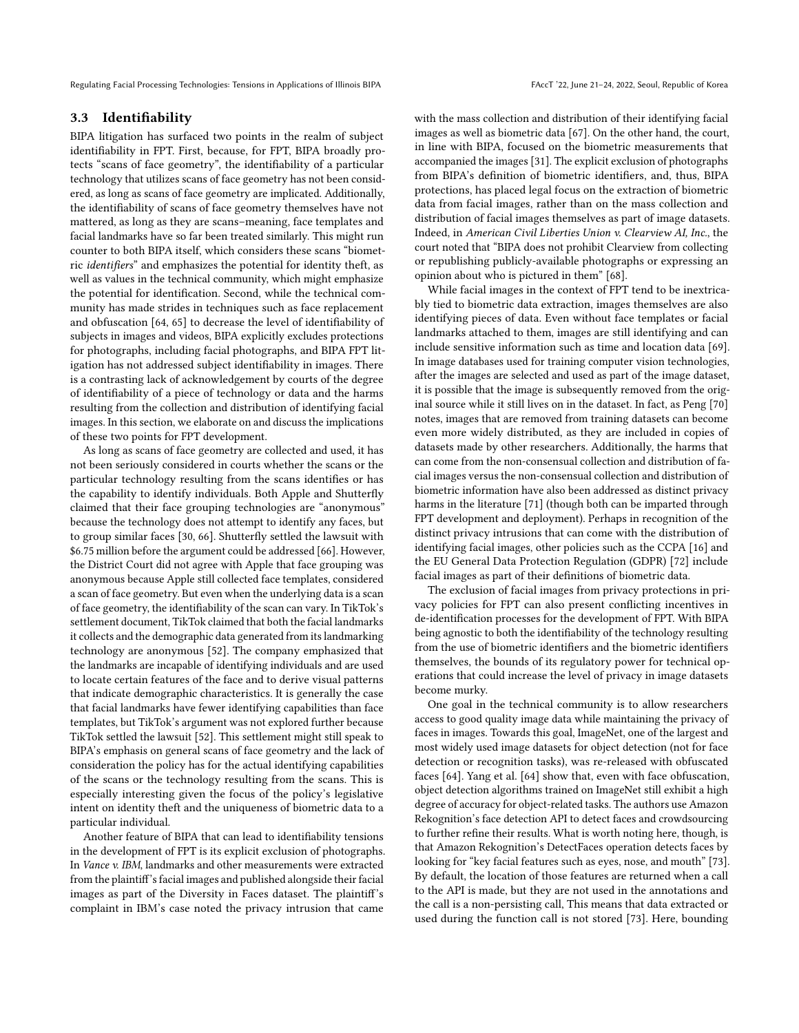## <span id="page-6-0"></span>3.3 Identifiability

BIPA litigation has surfaced two points in the realm of subject identifiability in FPT. First, because, for FPT, BIPA broadly protects "scans of face geometry", the identifiability of a particular technology that utilizes scans of face geometry has not been considered, as long as scans of face geometry are implicated. Additionally, the identifiability of scans of face geometry themselves have not mattered, as long as they are scans–meaning, face templates and facial landmarks have so far been treated similarly. This might run counter to both BIPA itself, which considers these scans "biometric identifiers" and emphasizes the potential for identity theft, as well as values in the technical community, which might emphasize the potential for identification. Second, while the technical community has made strides in techniques such as face replacement and obfuscation [\[64,](#page-9-49) [65\]](#page-9-50) to decrease the level of identifiability of subjects in images and videos, BIPA explicitly excludes protections for photographs, including facial photographs, and BIPA FPT litigation has not addressed subject identifiability in images. There is a contrasting lack of acknowledgement by courts of the degree of identifiability of a piece of technology or data and the harms resulting from the collection and distribution of identifying facial images. In this section, we elaborate on and discuss the implications of these two points for FPT development.

As long as scans of face geometry are collected and used, it has not been seriously considered in courts whether the scans or the particular technology resulting from the scans identifies or has the capability to identify individuals. Both Apple and Shutterfly claimed that their face grouping technologies are "anonymous" because the technology does not attempt to identify any faces, but to group similar faces [\[30,](#page-9-16) [66\]](#page-9-51). Shutterfly settled the lawsuit with \$6.75 million before the argument could be addressed [\[66\]](#page-9-51). However, the District Court did not agree with Apple that face grouping was anonymous because Apple still collected face templates, considered a scan of face geometry. But even when the underlying data is a scan of face geometry, the identifiability of the scan can vary. In TikTok's settlement document, TikTok claimed that both the facial landmarks it collects and the demographic data generated from its landmarking technology are anonymous [\[52\]](#page-9-38). The company emphasized that the landmarks are incapable of identifying individuals and are used to locate certain features of the face and to derive visual patterns that indicate demographic characteristics. It is generally the case that facial landmarks have fewer identifying capabilities than face templates, but TikTok's argument was not explored further because TikTok settled the lawsuit [\[52\]](#page-9-38). This settlement might still speak to BIPA's emphasis on general scans of face geometry and the lack of consideration the policy has for the actual identifying capabilities of the scans or the technology resulting from the scans. This is especially interesting given the focus of the policy's legislative intent on identity theft and the uniqueness of biometric data to a particular individual.

Another feature of BIPA that can lead to identifiability tensions in the development of FPT is its explicit exclusion of photographs. In Vance v. IBM, landmarks and other measurements were extracted from the plaintiff's facial images and published alongside their facial images as part of the Diversity in Faces dataset. The plaintiff's complaint in IBM's case noted the privacy intrusion that came

with the mass collection and distribution of their identifying facial images as well as biometric data [\[67\]](#page-9-52). On the other hand, the court, in line with BIPA, focused on the biometric measurements that accompanied the images [\[31\]](#page-9-17). The explicit exclusion of photographs from BIPA's definition of biometric identifiers, and, thus, BIPA protections, has placed legal focus on the extraction of biometric data from facial images, rather than on the mass collection and distribution of facial images themselves as part of image datasets. Indeed, in American Civil Liberties Union v. Clearview AI, Inc., the court noted that "BIPA does not prohibit Clearview from collecting or republishing publicly-available photographs or expressing an opinion about who is pictured in them" [\[68\]](#page-9-53).

While facial images in the context of FPT tend to be inextricably tied to biometric data extraction, images themselves are also identifying pieces of data. Even without face templates or facial landmarks attached to them, images are still identifying and can include sensitive information such as time and location data [\[69\]](#page-9-54). In image databases used for training computer vision technologies, after the images are selected and used as part of the image dataset, it is possible that the image is subsequently removed from the original source while it still lives on in the dataset. In fact, as Peng [\[70\]](#page-10-2) notes, images that are removed from training datasets can become even more widely distributed, as they are included in copies of datasets made by other researchers. Additionally, the harms that can come from the non-consensual collection and distribution of facial images versus the non-consensual collection and distribution of biometric information have also been addressed as distinct privacy harms in the literature [\[71\]](#page-10-3) (though both can be imparted through FPT development and deployment). Perhaps in recognition of the distinct privacy intrusions that can come with the distribution of identifying facial images, other policies such as the CCPA [\[16\]](#page-9-2) and the EU General Data Protection Regulation (GDPR) [\[72\]](#page-10-4) include facial images as part of their definitions of biometric data.

The exclusion of facial images from privacy protections in privacy policies for FPT can also present conflicting incentives in de-identification processes for the development of FPT. With BIPA being agnostic to both the identifiability of the technology resulting from the use of biometric identifiers and the biometric identifiers themselves, the bounds of its regulatory power for technical operations that could increase the level of privacy in image datasets become murky.

One goal in the technical community is to allow researchers access to good quality image data while maintaining the privacy of faces in images. Towards this goal, ImageNet, one of the largest and most widely used image datasets for object detection (not for face detection or recognition tasks), was re-released with obfuscated faces [\[64\]](#page-9-49). Yang et al. [\[64\]](#page-9-49) show that, even with face obfuscation, object detection algorithms trained on ImageNet still exhibit a high degree of accuracy for object-related tasks. The authors use Amazon Rekognition's face detection API to detect faces and crowdsourcing to further refine their results. What is worth noting here, though, is that Amazon Rekognition's DetectFaces operation detects faces by looking for "key facial features such as eyes, nose, and mouth" [\[73\]](#page-10-5). By default, the location of those features are returned when a call to the API is made, but they are not used in the annotations and the call is a non-persisting call, This means that data extracted or used during the function call is not stored [\[73\]](#page-10-5). Here, bounding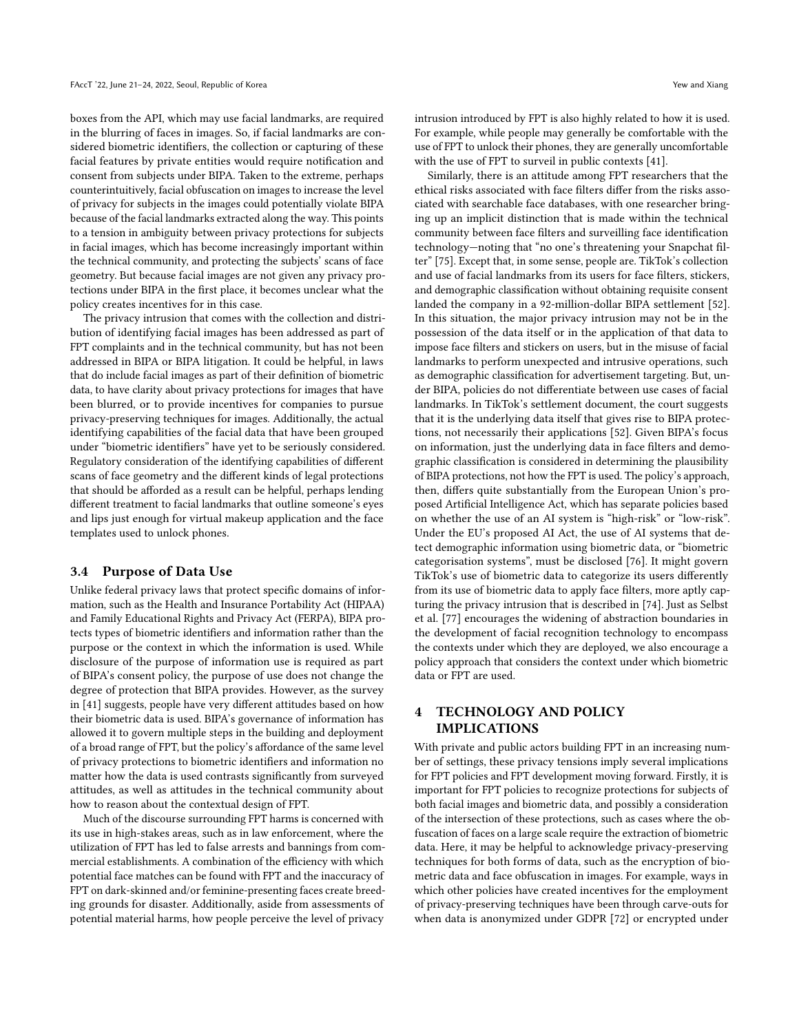boxes from the API, which may use facial landmarks, are required in the blurring of faces in images. So, if facial landmarks are considered biometric identifiers, the collection or capturing of these facial features by private entities would require notification and consent from subjects under BIPA. Taken to the extreme, perhaps counterintuitively, facial obfuscation on images to increase the level of privacy for subjects in the images could potentially violate BIPA because of the facial landmarks extracted along the way. This points to a tension in ambiguity between privacy protections for subjects in facial images, which has become increasingly important within the technical community, and protecting the subjects' scans of face geometry. But because facial images are not given any privacy protections under BIPA in the first place, it becomes unclear what the policy creates incentives for in this case.

The privacy intrusion that comes with the collection and distribution of identifying facial images has been addressed as part of FPT complaints and in the technical community, but has not been addressed in BIPA or BIPA litigation. It could be helpful, in laws that do include facial images as part of their definition of biometric data, to have clarity about privacy protections for images that have been blurred, or to provide incentives for companies to pursue privacy-preserving techniques for images. Additionally, the actual identifying capabilities of the facial data that have been grouped under "biometric identifiers" have yet to be seriously considered. Regulatory consideration of the identifying capabilities of different scans of face geometry and the different kinds of legal protections that should be afforded as a result can be helpful, perhaps lending different treatment to facial landmarks that outline someone's eyes and lips just enough for virtual makeup application and the face templates used to unlock phones.

#### <span id="page-7-0"></span>3.4 Purpose of Data Use

Unlike federal privacy laws that protect specific domains of information, such as the Health and Insurance Portability Act (HIPAA) and Family Educational Rights and Privacy Act (FERPA), BIPA protects types of biometric identifiers and information rather than the purpose or the context in which the information is used. While disclosure of the purpose of information use is required as part of BIPA's consent policy, the purpose of use does not change the degree of protection that BIPA provides. However, as the survey in [\[41\]](#page-9-27) suggests, people have very different attitudes based on how their biometric data is used. BIPA's governance of information has allowed it to govern multiple steps in the building and deployment of a broad range of FPT, but the policy's affordance of the same level of privacy protections to biometric identifiers and information no matter how the data is used contrasts significantly from surveyed attitudes, as well as attitudes in the technical community about how to reason about the contextual design of FPT.

Much of the discourse surrounding FPT harms is concerned with its use in high-stakes areas, such as in law enforcement, where the utilization of FPT has led to false arrests and bannings from commercial establishments. A combination of the efficiency with which potential face matches can be found with FPT and the inaccuracy of FPT on dark-skinned and/or feminine-presenting faces create breeding grounds for disaster. Additionally, aside from assessments of potential material harms, how people perceive the level of privacy

intrusion introduced by FPT is also highly related to how it is used. For example, while people may generally be comfortable with the use of FPT to unlock their phones, they are generally uncomfortable with the use of FPT to surveil in public contexts [\[41\]](#page-9-27).

Similarly, there is an attitude among FPT researchers that the ethical risks associated with face filters differ from the risks associated with searchable face databases, with one researcher bringing up an implicit distinction that is made within the technical community between face filters and surveilling face identification technology—noting that "no one's threatening your Snapchat filter" [\[75\]](#page-10-6). Except that, in some sense, people are. TikTok's collection and use of facial landmarks from its users for face filters, stickers, and demographic classification without obtaining requisite consent landed the company in a 92-million-dollar BIPA settlement [\[52\]](#page-9-38). In this situation, the major privacy intrusion may not be in the possession of the data itself or in the application of that data to impose face filters and stickers on users, but in the misuse of facial landmarks to perform unexpected and intrusive operations, such as demographic classification for advertisement targeting. But, under BIPA, policies do not differentiate between use cases of facial landmarks. In TikTok's settlement document, the court suggests that it is the underlying data itself that gives rise to BIPA protections, not necessarily their applications [\[52\]](#page-9-38). Given BIPA's focus on information, just the underlying data in face filters and demographic classification is considered in determining the plausibility of BIPA protections, not how the FPT is used. The policy's approach, then, differs quite substantially from the European Union's proposed Artificial Intelligence Act, which has separate policies based on whether the use of an AI system is "high-risk" or "low-risk". Under the EU's proposed AI Act, the use of AI systems that detect demographic information using biometric data, or "biometric categorisation systems", must be disclosed [\[76\]](#page-10-7). It might govern TikTok's use of biometric data to categorize its users differently from its use of biometric data to apply face filters, more aptly capturing the privacy intrusion that is described in [\[74\]](#page-10-1). Just as Selbst et al. [\[77\]](#page-10-8) encourages the widening of abstraction boundaries in the development of facial recognition technology to encompass the contexts under which they are deployed, we also encourage a policy approach that considers the context under which biometric data or FPT are used.

# 4 TECHNOLOGY AND POLICY IMPLICATIONS

With private and public actors building FPT in an increasing number of settings, these privacy tensions imply several implications for FPT policies and FPT development moving forward. Firstly, it is important for FPT policies to recognize protections for subjects of both facial images and biometric data, and possibly a consideration of the intersection of these protections, such as cases where the obfuscation of faces on a large scale require the extraction of biometric data. Here, it may be helpful to acknowledge privacy-preserving techniques for both forms of data, such as the encryption of biometric data and face obfuscation in images. For example, ways in which other policies have created incentives for the employment of privacy-preserving techniques have been through carve-outs for when data is anonymized under GDPR [\[72\]](#page-10-4) or encrypted under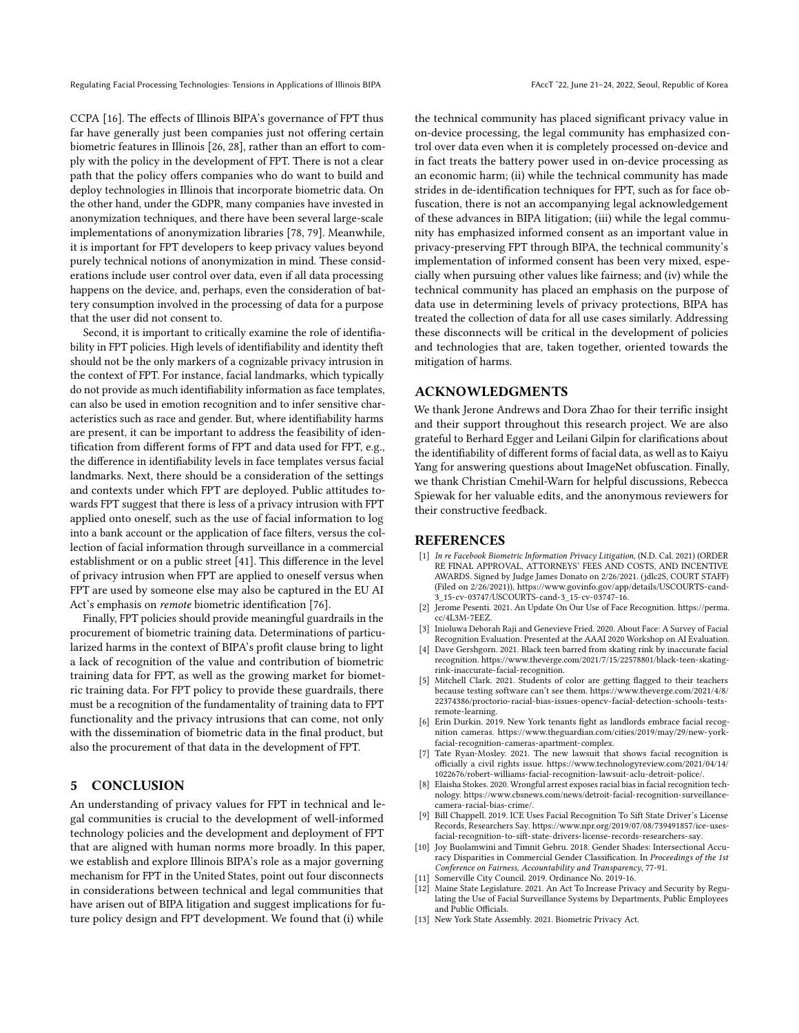CCPA [\[16\]](#page-9-2). The effects of Illinois BIPA's governance of FPT thus far have generally just been companies just not offering certain biometric features in Illinois [\[26,](#page-9-12) [28\]](#page-9-14), rather than an effort to comply with the policy in the development of FPT. There is not a clear path that the policy offers companies who do want to build and deploy technologies in Illinois that incorporate biometric data. On the other hand, under the GDPR, many companies have invested in anonymization techniques, and there have been several large-scale implementations of anonymization libraries [\[78,](#page-10-9) [79\]](#page-10-10). Meanwhile, it is important for FPT developers to keep privacy values beyond purely technical notions of anonymization in mind. These considerations include user control over data, even if all data processing happens on the device, and, perhaps, even the consideration of battery consumption involved in the processing of data for a purpose that the user did not consent to.

Second, it is important to critically examine the role of identifiability in FPT policies. High levels of identifiability and identity theft should not be the only markers of a cognizable privacy intrusion in the context of FPT. For instance, facial landmarks, which typically do not provide as much identifiability information as face templates, can also be used in emotion recognition and to infer sensitive characteristics such as race and gender. But, where identifiability harms are present, it can be important to address the feasibility of identification from different forms of FPT and data used for FPT, e.g., the difference in identifiability levels in face templates versus facial landmarks. Next, there should be a consideration of the settings and contexts under which FPT are deployed. Public attitudes towards FPT suggest that there is less of a privacy intrusion with FPT applied onto oneself, such as the use of facial information to log into a bank account or the application of face filters, versus the collection of facial information through surveillance in a commercial establishment or on a public street [\[41\]](#page-9-27). This difference in the level of privacy intrusion when FPT are applied to oneself versus when FPT are used by someone else may also be captured in the EU AI Act's emphasis on remote biometric identification [\[76\]](#page-10-7).

Finally, FPT policies should provide meaningful guardrails in the procurement of biometric training data. Determinations of particularized harms in the context of BIPA's profit clause bring to light a lack of recognition of the value and contribution of biometric training data for FPT, as well as the growing market for biometric training data. For FPT policy to provide these guardrails, there must be a recognition of the fundamentality of training data to FPT functionality and the privacy intrusions that can come, not only with the dissemination of biometric data in the final product, but also the procurement of that data in the development of FPT.

## 5 CONCLUSION

An understanding of privacy values for FPT in technical and legal communities is crucial to the development of well-informed technology policies and the development and deployment of FPT that are aligned with human norms more broadly. In this paper, we establish and explore Illinois BIPA's role as a major governing mechanism for FPT in the United States, point out four disconnects in considerations between technical and legal communities that have arisen out of BIPA litigation and suggest implications for future policy design and FPT development. We found that (i) while

the technical community has placed significant privacy value in on-device processing, the legal community has emphasized control over data even when it is completely processed on-device and in fact treats the battery power used in on-device processing as an economic harm; (ii) while the technical community has made strides in de-identification techniques for FPT, such as for face obfuscation, there is not an accompanying legal acknowledgement of these advances in BIPA litigation; (iii) while the legal community has emphasized informed consent as an important value in privacy-preserving FPT through BIPA, the technical community's implementation of informed consent has been very mixed, especially when pursuing other values like fairness; and (iv) while the technical community has placed an emphasis on the purpose of data use in determining levels of privacy protections, BIPA has treated the collection of data for all use cases similarly. Addressing these disconnects will be critical in the development of policies and technologies that are, taken together, oriented towards the mitigation of harms.

## ACKNOWLEDGMENTS

We thank Jerone Andrews and Dora Zhao for their terrific insight and their support throughout this research project. We are also grateful to Berhard Egger and Leilani Gilpin for clarifications about the identifiability of different forms of facial data, as well as to Kaiyu Yang for answering questions about ImageNet obfuscation. Finally, we thank Christian Cmehil-Warn for helpful discussions, Rebecca Spiewak for her valuable edits, and the anonymous reviewers for their constructive feedback.

#### REFERENCES

- <span id="page-8-0"></span>[1] In re Facebook Biometric Information Privacy Litigation, (N.D. Cal. 2021) (ORDER RE FINAL APPROVAL, ATTORNEYS' FEES AND COSTS, AND INCENTIVE AWARDS. Signed by Judge James Donato on 2/26/2021. (jdlc2S, COURT STAFF) (Filed on 2/26/2021)), [https://www.govinfo.gov/app/details/USCOURTS-cand-](https://www.govinfo.gov/app/details/USCOURTS-cand-3_15-cv-03747/USCOURTS-cand-3_15-cv-03747-16)[3\\_15-cv-03747/USCOURTS-cand-3\\_15-cv-03747-16.](https://www.govinfo.gov/app/details/USCOURTS-cand-3_15-cv-03747/USCOURTS-cand-3_15-cv-03747-16)
- <span id="page-8-1"></span>[2] Jerome Pesenti. 2021. An Update On Our Use of Face Recognition. [https://perma.](https://perma.cc/4L3M-7EEZ) [cc/4L3M-7EEZ.](https://perma.cc/4L3M-7EEZ)
- <span id="page-8-2"></span>Inioluwa Deborah Raji and Genevieve Fried. 2020. About Face: A Survey of Facial Recognition Evaluation. Presented at the AAAI 2020 Workshop on AI Evaluation.
- <span id="page-8-3"></span>[4] Dave Gershgorn. 2021. Black teen barred from skating rink by inaccurate facial recognition. [https://www.theverge.com/2021/7/15/22578801/black-teen-skating](https://www.theverge.com/2021/7/15/22578801/black-teen-skating-rink-inaccurate-facial-recognition)[rink-inaccurate-facial-recognition.](https://www.theverge.com/2021/7/15/22578801/black-teen-skating-rink-inaccurate-facial-recognition)
- <span id="page-8-4"></span>[5] Mitchell Clark. 2021. Students of color are getting flagged to their teachers because testing software can't see them. [https://www.theverge.com/2021/4/8/](https://www.theverge.com/2021/4/8/22374386/proctorio-racial-bias-issues-opencv-facial-detection-schools-tests-remote-learning) [22374386/proctorio-racial-bias-issues-opencv-facial-detection-schools-tests](https://www.theverge.com/2021/4/8/22374386/proctorio-racial-bias-issues-opencv-facial-detection-schools-tests-remote-learning)[remote-learning.](https://www.theverge.com/2021/4/8/22374386/proctorio-racial-bias-issues-opencv-facial-detection-schools-tests-remote-learning)
- <span id="page-8-5"></span>[6] Erin Durkin. 2019. New York tenants fight as landlords embrace facial recognition cameras. [https://www.theguardian.com/cities/2019/may/29/new-york](https://www.theguardian.com/cities/2019/may/29/new-york-facial-recognition-cameras-apartment-complex)[facial-recognition-cameras-apartment-complex.](https://www.theguardian.com/cities/2019/may/29/new-york-facial-recognition-cameras-apartment-complex)
- <span id="page-8-6"></span>Tate Ryan-Mosley. 2021. The new lawsuit that shows facial recognition is officially a civil rights issue. [https://www.technologyreview.com/2021/04/14/](https://www.technologyreview.com/2021/04/14/1022676/robert-williams-facial-recognition-lawsuit-aclu-detroit-police/) [1022676/robert-williams-facial-recognition-lawsuit-aclu-detroit-police/.](https://www.technologyreview.com/2021/04/14/1022676/robert-williams-facial-recognition-lawsuit-aclu-detroit-police/)
- <span id="page-8-7"></span>Elaisha Stokes. 2020. Wrongful arrest exposes racial bias in facial recognition technology. [https://www.cbsnews.com/news/detroit-facial-recognition-surveillance](https://www.cbsnews.com/news/detroit-facial-recognition-surveillance-camera-racial-bias-crime/)[camera-racial-bias-crime/.](https://www.cbsnews.com/news/detroit-facial-recognition-surveillance-camera-racial-bias-crime/)
- <span id="page-8-8"></span>[9] Bill Chappell. 2019. ICE Uses Facial Recognition To Sift State Driver's License Records, Researchers Say. [https://www.npr.org/2019/07/08/739491857/ice-uses](https://www.npr.org/2019/07/08/739491857/ice-uses-facial-recognition-to-sift-state-drivers-license-records-researchers-say)[facial-recognition-to-sift-state-drivers-license-records-researchers-say.](https://www.npr.org/2019/07/08/739491857/ice-uses-facial-recognition-to-sift-state-drivers-license-records-researchers-say)
- <span id="page-8-9"></span>[10] Joy Buolamwini and Timnit Gebru. 2018. Gender Shades: Intersectional Accuracy Disparities in Commercial Gender Classification. In Proceedings of the 1st Conference on Fairness, Accountability and Transparency, 77-91.
- <span id="page-8-10"></span>Somerville City Council. 2019. Ordinance No. 2019-16.
- <span id="page-8-11"></span>Maine State Legislature. 2021. An Act To Increase Privacy and Security by Regulating the Use of Facial Surveillance Systems by Departments, Public Employees and Public Officials.
- <span id="page-8-12"></span>[13] New York State Assembly. 2021. Biometric Privacy Act.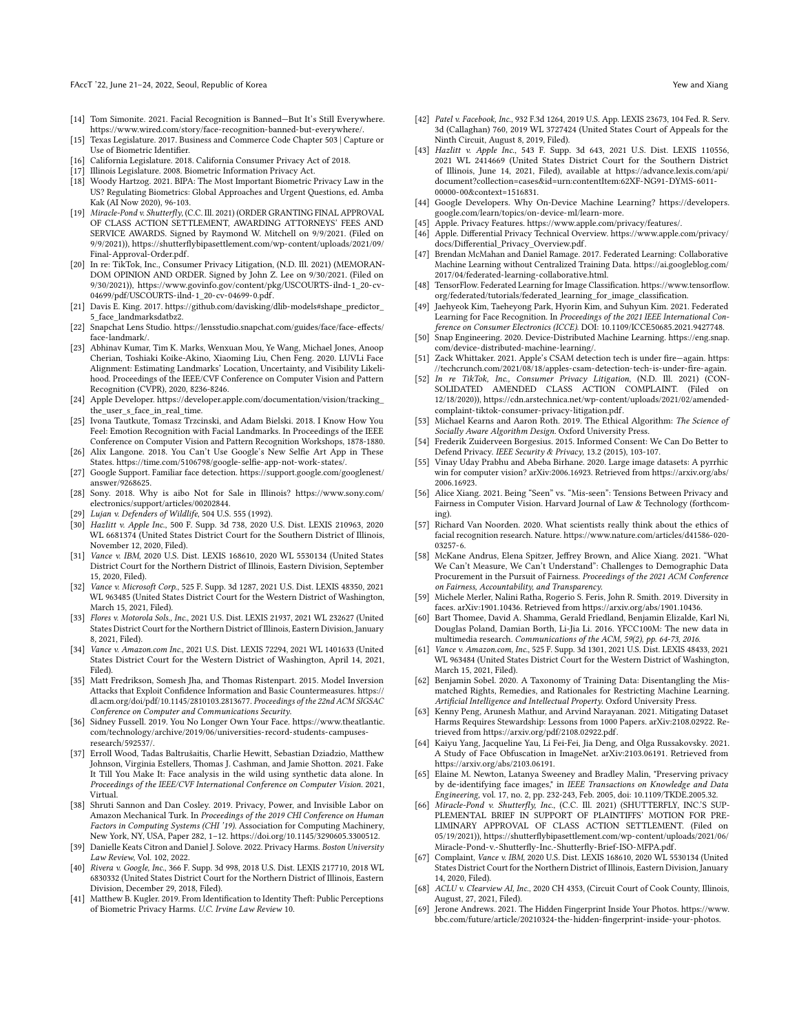#### FAccT '22, June 21-24, 2022, Seoul, Republic of Korea Yew and Xiang Yew and Xiang Yew and Xiang

- <span id="page-9-0"></span>[14] Tom Simonite. 2021. Facial Recognition is Banned—But It's Still Everywhere. [https://www.wired.com/story/face-recognition-banned-but-everywhere/.](https://www.wired.com/story/face-recognition-banned-but-everywhere/)
- <span id="page-9-1"></span>[15] Texas Legislature. 2017. Business and Commerce Code Chapter 503 | Capture or Use of Biometric Identifier.
- <span id="page-9-2"></span>[16] California Legislature. 2018. California Consumer Privacy Act of 2018.
- <span id="page-9-3"></span>[17] Illinois Legislature. 2008. Biometric Information Privacy Act.
- <span id="page-9-4"></span>[18] Woody Hartzog. 2021. BIPA: The Most Important Biometric Privacy Law in the US? Regulating Biometrics: Global Approaches and Urgent Questions, ed. Amba Kak (AI Now 2020), 96-103.
- <span id="page-9-5"></span>[19] Miracle-Pond v. Shutterfly, (C.C. Ill. 2021) (ORDER GRANTING FINAL APPROVAL OF CLASS ACTION SETTLEMENT, AWARDING ATTORNEYS' FEES AND SERVICE AWARDS. Signed by Raymond W. Mitchell on 9/9/2021. (Filed on 9/9/2021)), [https://shutterflybipasettlement.com/wp-content/uploads/2021/09/](https://shutterflybipasettlement.com/wp-content/uploads/2021/09/Final-Approval-Order.pdf) [Final-Approval-Order.pdf.](https://shutterflybipasettlement.com/wp-content/uploads/2021/09/Final-Approval-Order.pdf)
- <span id="page-9-6"></span>[20] In re: TikTok, Inc., Consumer Privacy Litigation, (N.D. Ill. 2021) (MEMORAN-DOM OPINION AND ORDER. Signed by John Z. Lee on 9/30/2021. (Filed on 9/30/2021)), [https://www.govinfo.gov/content/pkg/USCOURTS-ilnd-1\\_20-cv-](https://www.govinfo.gov/content/pkg/USCOURTS-ilnd-1_20-cv-04699/pdf/USCOURTS-ilnd-1_20-cv-04699-0.pdf)[04699/pdf/USCOURTS-ilnd-1\\_20-cv-04699-0.pdf.](https://www.govinfo.gov/content/pkg/USCOURTS-ilnd-1_20-cv-04699/pdf/USCOURTS-ilnd-1_20-cv-04699-0.pdf)
- <span id="page-9-7"></span>[21] Davis E. King. 2017. [https://github.com/davisking/dlib-models#shape\\_predictor\\_](https://github.com/davisking/dlib-models#shape_predictor_5_face_landmarksdatbz2) [5\\_face\\_landmarksdatbz2.](https://github.com/davisking/dlib-models#shape_predictor_5_face_landmarksdatbz2)
- <span id="page-9-8"></span>[22] Snapchat Lens Studio. [https://lensstudio.snapchat.com/guides/face/face-effects/](https://lensstudio.snapchat.com/guides/face/face-effects/face-landmark/) [face-landmark/.](https://lensstudio.snapchat.com/guides/face/face-effects/face-landmark/)
- <span id="page-9-9"></span>[23] Abhinav Kumar, Tim K. Marks, Wenxuan Mou, Ye Wang, Michael Jones, Anoop Cherian, Toshiaki Koike-Akino, Xiaoming Liu, Chen Feng. 2020. LUVLi Face Alignment: Estimating Landmarks' Location, Uncertainty, and Visibility Likelihood. Proceedings of the IEEE/CVF Conference on Computer Vision and Pattern Recognition (CVPR), 2020, 8236-8246.
- <span id="page-9-10"></span>[24] Apple Developer. [https://developer.apple.com/documentation/vision/tracking\\_](https://developer.apple.com/documentation/vision/tracking_the_user_s_face_in_real_time) the user s face in real time.
- <span id="page-9-11"></span>[25] Ivona Tautkute, Tomasz Trzcinski, and Adam Bielski. 2018. I Know How You Feel: Emotion Recognition with Facial Landmarks. In Proceedings of the IEEE Conference on Computer Vision and Pattern Recognition Workshops, 1878-1880.
- <span id="page-9-12"></span>[26] Alix Langone. 2018. You Can't Use Google's New Selfie Art App in These States. [https://time.com/5106798/google-selfie-app-not-work-states/.](https://time.com/5106798/google-selfie-app-not-work-states/) [27] Google Support. Familiar face detection. [https://support.google.com/googlenest/](https://support.google.com/googlenest/answer/9268625)
- <span id="page-9-13"></span>[answer/9268625.](https://support.google.com/googlenest/answer/9268625)
- <span id="page-9-14"></span>[28] Sony. 2018. Why is aibo Not for Sale in Illinois? [https://www.sony.com/](https://www.sony.com/electronics/support/articles/00202844) [electronics/support/articles/00202844.](https://www.sony.com/electronics/support/articles/00202844)
- <span id="page-9-15"></span>[29] Lujan v. Defenders of Wildlife, 504 U.S. 555 (1992).
- <span id="page-9-16"></span>[30] Hazlitt v. Apple Inc., 500 F. Supp. 3d 738, 2020 U.S. Dist. LEXIS 210963, 2020 WL 6681374 (United States District Court for the Southern District of Illinois, November 12, 2020, Filed).
- <span id="page-9-17"></span>[31] Vance v. IBM, 2020 U.S. Dist. LEXIS 168610, 2020 WL 5530134 (United States District Court for the Northern District of Illinois, Eastern Division, September 15, 2020, Filed).
- <span id="page-9-18"></span>[32] Vance v. Microsoft Corp., 525 F. Supp. 3d 1287, 2021 U.S. Dist. LEXIS 48350, 2021 WL 963485 (United States District Court for the Western District of Washington, March 15, 2021, Filed).
- <span id="page-9-20"></span>[33] Flores v. Motorola Sols., Inc., 2021 U.S. Dist. LEXIS 21937, 2021 WL 232627 (United States District Court for the Northern District of Illinois, Eastern Division, January 8, 2021, Filed).
- <span id="page-9-19"></span>[34] Vance v. Amazon.com Inc., 2021 U.S. Dist. LEXIS 72294, 2021 WL 1401633 (United States District Court for the Western District of Washington, April 14, 2021, Filed).
- <span id="page-9-21"></span>[35] Matt Fredrikson, Somesh Jha, and Thomas Ristenpart. 2015. Model Inversion Attacks that Exploit Confidence Information and Basic Countermeasures. [https://](https://dl.acm.org/doi/pdf/10.1145/2810103.2813677) [dl.acm.org/doi/pdf/10.1145/2810103.2813677.](https://dl.acm.org/doi/pdf/10.1145/2810103.2813677) Proceedings of the 22nd ACM SIGSAC Conference on Computer and Communications Security.
- <span id="page-9-22"></span>[36] Sidney Fussell. 2019. You No Longer Own Your Face. [https://www.theatlantic.](https://www.theatlantic.com/technology/archive/2019/06/universities-record-students-campuses-research/592537/) [com/technology/archive/2019/06/universities-record-students-campuses](https://www.theatlantic.com/technology/archive/2019/06/universities-record-students-campuses-research/592537/)[research/592537/.](https://www.theatlantic.com/technology/archive/2019/06/universities-record-students-campuses-research/592537/)
- <span id="page-9-23"></span>[37] Erroll Wood, Tadas Baltrušaitis, Charlie Hewitt, Sebastian Dziadzio, Matthew Johnson, Virginia Estellers, Thomas J. Cashman, and Jamie Shotton. 2021. Fake It Till You Make It: Face analysis in the wild using synthetic data alone. In Proceedings of the IEEE/CVF International Conference on Computer Vision. 2021, Virtual.
- <span id="page-9-24"></span>[38] Shruti Sannon and Dan Cosley. 2019. Privacy, Power, and Invisible Labor on Amazon Mechanical Turk. In Proceedings of the 2019 CHI Conference on Human Factors in Computing Systems (CHI '19). Association for Computing Machinery, New York, NY, USA, Paper 282, 1–12. [https://doi.org/10.1145/3290605.3300512.](https://doi.org/10.1145/3290605.3300512)
- <span id="page-9-25"></span>[39] Danielle Keats Citron and Daniel J. Solove. 2022. Privacy Harms. Boston University Law Review, Vol. 102, 2022.
- <span id="page-9-26"></span>[40] Rivera v. Google, Inc., 366 F. Supp. 3d 998, 2018 U.S. Dist. LEXIS 217710, 2018 WL 6830332 (United States District Court for the Northern District of Illinois, Eastern Division, December 29, 2018, Filed).
- <span id="page-9-27"></span>[41] Matthew B. Kugler. 2019. From Identification to Identity Theft: Public Perceptions of Biometric Privacy Harms. U.C. Irvine Law Review 10.
- <span id="page-9-28"></span>[42] Patel v. Facebook, Inc., 932 F.3d 1264, 2019 U.S. App. LEXIS 23673, 104 Fed. R. Serv. 3d (Callaghan) 760, 2019 WL 3727424 (United States Court of Appeals for the Ninth Circuit, August 8, 2019, Filed).
- <span id="page-9-31"></span>[43] Hazlitt v. Apple Inc., 543 F. Supp. 3d 643, 2021 U.S. Dist. LEXIS 110556, 2021 WL 2414669 (United States District Court for the Southern District of Illinois, June 14, 2021, Filed), available at [https://advance.lexis.com/api/](https://advance.lexis.com/api/document?collection=cases&id=urn:contentItem:62XF-NG91-DYMS-6011-00000-00&context=1516831) [document?collection=cases&id=urn:contentItem:62XF-NG91-DYMS-6011-](https://advance.lexis.com/api/document?collection=cases&id=urn:contentItem:62XF-NG91-DYMS-6011-00000-00&context=1516831) [00000-00&context=1516831.](https://advance.lexis.com/api/document?collection=cases&id=urn:contentItem:62XF-NG91-DYMS-6011-00000-00&context=1516831)
- <span id="page-9-29"></span>[44] Google Developers. Why On-Device Machine Learning? [https://developers.](https://developers.google.com/learn/topics/on-device-ml/learn-more) [google.com/learn/topics/on-device-ml/learn-more.](https://developers.google.com/learn/topics/on-device-ml/learn-more)
- <span id="page-9-30"></span>[45] Apple. Privacy Features. [https://www.apple.com/privacy/features/.](https://www.apple.com/privacy/features/)
- <span id="page-9-32"></span>[46] Apple. Differential Privacy Technical Overview. [https://www.apple.com/privacy/](https://www.apple.com/privacy/docs/Differential_Privacy_Overview.pdf) [docs/Differential\\_Privacy\\_Overview.pdf.](https://www.apple.com/privacy/docs/Differential_Privacy_Overview.pdf)
- <span id="page-9-33"></span>[47] Brendan McMahan and Daniel Ramage. 2017. Federated Learning: Collaborative Machine Learning without Centralized Training Data. [https://ai.googleblog.com/](https://ai.googleblog.com/2017/04/federated-learning-collaborative.html) [2017/04/federated-learning-collaborative.html.](https://ai.googleblog.com/2017/04/federated-learning-collaborative.html)
- <span id="page-9-34"></span>[48] TensorFlow. Federated Learning for Image Classification. [https://www.tensorflow.](https://www.tensorflow.org/federated/tutorials/federated_learning_for_image_classification) [org/federated/tutorials/federated\\_learning\\_for\\_image\\_classification.](https://www.tensorflow.org/federated/tutorials/federated_learning_for_image_classification)
- <span id="page-9-35"></span>[49] Jaehyeok Kim, Taeheyong Park, Hyorin Kim, and Suhyun Kim. 2021. Federated Learning for Face Recognition. In Proceedings of the 2021 IEEE International Conference on Consumer Electronics (ICCE). DOI: [10.1109/ICCE50685.2021.9427748.](10.1109/ICCE50685.2021.9427748)
- <span id="page-9-36"></span>[50] Snap Engineering. 2020. Device-Distributed Machine Learning. [https://eng.snap.](https://eng.snap.com/device-distributed-machine-learning/) [com/device-distributed-machine-learning/.](https://eng.snap.com/device-distributed-machine-learning/)
- <span id="page-9-37"></span>[51] Zack Whittaker. 2021. Apple's CSAM detection tech is under fire—again. [https:](https://techcrunch.com/2021/08/18/apples-csam-detection-tech-is-under-fire-again) [//techcrunch.com/2021/08/18/apples-csam-detection-tech-is-under-fire-again.](https://techcrunch.com/2021/08/18/apples-csam-detection-tech-is-under-fire-again)
- <span id="page-9-38"></span>[52] In re TikTok, Inc., Consumer Privacy Litigation, (N.D. Ill. 2021) (CON-SOLIDATED AMENDED CLASS ACTION COMPLAINT. (Filed on 12/18/2020)), [https://cdn.arstechnica.net/wp-content/uploads/2021/02/amended](https://cdn.arstechnica.net/wp-content/uploads/2021/02/amended-complaint-tiktok-consumer-privacy-litigation.pdf)[complaint-tiktok-consumer-privacy-litigation.pdf.](https://cdn.arstechnica.net/wp-content/uploads/2021/02/amended-complaint-tiktok-consumer-privacy-litigation.pdf)
- <span id="page-9-39"></span>[53] Michael Kearns and Aaron Roth. 2019. The Ethical Algorithm: The Science of Socially Aware Algorithm Design. Oxford University Press.
- [54] Frederik Zuiderveen Borgesius. 2015. Informed Consent: We Can Do Better to Defend Privacy. IEEE Security & Privacy, 13.2 (2015), 103-107.
- <span id="page-9-40"></span>[55] Vinay Uday Prabhu and Abeba Birhane. 2020. Large image datasets: A pyrrhic win for computer vision? arXiv:2006.16923. Retrieved from [https://arxiv.org/abs/](https://arxiv.org/abs/2006.16923) [2006.16923.](https://arxiv.org/abs/2006.16923)
- <span id="page-9-42"></span>[56] Alice Xiang. 2021. Being "Seen" vs. "Mis-seen": Tensions Between Privacy and Fairness in Computer Vision. Harvard Journal of Law & Technology (forthcoming).
- <span id="page-9-41"></span>[57] Richard Van Noorden. 2020. What scientists really think about the ethics of facial recognition research. Nature. [https://www.nature.com/articles/d41586-020-](https://www.nature.com/articles/d41586-020-03257-6) [03257-6.](https://www.nature.com/articles/d41586-020-03257-6)
- <span id="page-9-43"></span>[58] McKane Andrus, Elena Spitzer, Jeffrey Brown, and Alice Xiang. 2021. "What We Can't Measure, We Can't Understand": Challenges to Demographic Data Procurement in the Pursuit of Fairness. Proceedings of the 2021 ACM Conference on Fairness, Accountability, and Transparency.
- <span id="page-9-44"></span>[59] Michele Merler, Nalini Ratha, Rogerio S. Feris, John R. Smith. 2019. Diversity in faces. arXiv:1901.10436. Retrieved from [https://arxiv.org/abs/1901.10436.](https://arxiv.org/abs/1901.10436)
- <span id="page-9-45"></span>[60] Bart Thomee, David A. Shamma, Gerald Friedland, Benjamin Elizalde, Karl Ni, Douglas Poland, Damian Borth, Li-Jia Li. 2016. YFCC100M: The new data in multimedia research. Communications of the ACM, 59(2), pp. 64-73, 2016.
- <span id="page-9-46"></span>[61] Vance v. Amazon.com, Inc., 525 F. Supp. 3d 1301, 2021 U.S. Dist. LEXIS 48433, 2021 WL 963484 (United States District Court for the Western District of Washington, March 15, 2021, Filed).
- <span id="page-9-47"></span>[62] Benjamin Sobel. 2020. A Taxonomy of Training Data: Disentangling the Mismatched Rights, Remedies, and Rationales for Restricting Machine Learning. Artificial Intelligence and Intellectual Property. Oxford University Press.
- <span id="page-9-48"></span>[63] Kenny Peng, Arunesh Mathur, and Arvind Narayanan. 2021. Mitigating Dataset Harms Requires Stewardship: Lessons from 1000 Papers. arXiv:2108.02922. Retrieved from [https://arxiv.org/pdf/2108.02922.pdf.](https://arxiv.org/pdf/2108.02922.pdf)
- <span id="page-9-49"></span>[64] Kaiyu Yang, Jacqueline Yau, Li Fei-Fei, Jia Deng, and Olga Russakovsky. 2021. A Study of Face Obfuscation in ImageNet. arXiv:2103.06191. Retrieved from [https://arxiv.org/abs/2103.06191.](https://arxiv.org/abs/2103.06191)
- <span id="page-9-50"></span>[65] Elaine M. Newton, Latanya Sweeney and Bradley Malin, "Preserving privacy by de-identifying face images," in IEEE Transactions on Knowledge and Data Engineering, vol. 17, no. 2, pp. 232-243, Feb. 2005, doi: 10.1109/TKDE.2005.32.
- <span id="page-9-51"></span>[66] Miracle-Pond v. Shutterfly, Inc., (C.C. Ill. 2021) (SHUTTERFLY, INC.'S SUP-PLEMENTAL BRIEF IN SUPPORT OF PLAINTIFFS' MOTION FOR PRE-LIMINARY APPROVAL OF CLASS ACTION SETTLEMENT. (Filed on 05/19/2021)), [https://shutterflybipasettlement.com/wp-content/uploads/2021/06/](https://shutterflybipasettlement.com/wp-content/uploads/2021/06/Miracle-Pond-v.-Shutterfly-Inc.-Shutterfly-Brief-ISO-MFPA.pdf) [Miracle-Pond-v.-Shutterfly-Inc.-Shutterfly-Brief-ISO-MFPA.pdf.](https://shutterflybipasettlement.com/wp-content/uploads/2021/06/Miracle-Pond-v.-Shutterfly-Inc.-Shutterfly-Brief-ISO-MFPA.pdf)
- <span id="page-9-52"></span>[67] Complaint, Vance v. IBM, 2020 U.S. Dist. LEXIS 168610, 2020 WL 5530134 (United States District Court for the Northern District of Illinois, Eastern Division, January 14, 2020, Filed).
- <span id="page-9-53"></span>[68] ACLU v. Clearview AI, Inc., 2020 CH 4353, (Circuit Court of Cook County, Illinois, August, 27, 2021, Filed).
- <span id="page-9-54"></span>[69] Jerone Andrews. 2021. The Hidden Fingerprint Inside Your Photos. [https://www.](https://www.bbc.com/future/article/20210324-the-hidden-fingerprint-inside-your-photos) [bbc.com/future/article/20210324-the-hidden-fingerprint-inside-your-photos.](https://www.bbc.com/future/article/20210324-the-hidden-fingerprint-inside-your-photos)